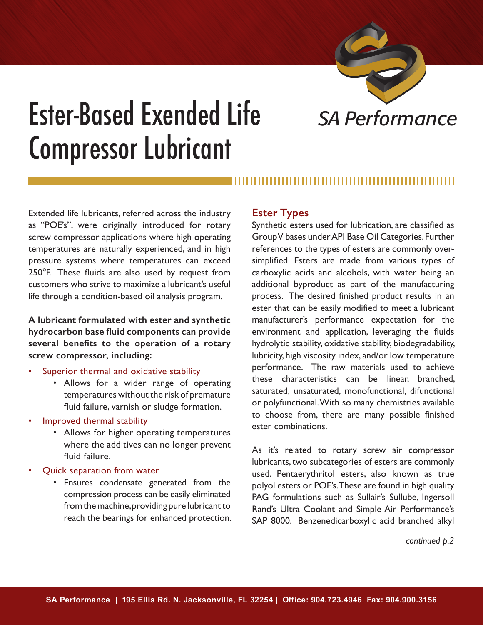

# Ester-Based Exended Life *SA Performance* Compressor Lubricant

Extended life lubricants, referred across the industry as "POE's", were originally introduced for rotary screw compressor applications where high operating temperatures are naturally experienced, and in high pressure systems where temperatures can exceed 250°F. These fluids are also used by request from customers who strive to maximize a lubricant's useful life through a condition-based oil analysis program.

**A lubricant formulated with ester and synthetic hydrocarbon base fluid components can provide several benefits to the operation of a rotary screw compressor, including:**

- Superior thermal and oxidative stability
	- Allows for a wider range of operating temperatures without the risk of premature fluid failure, varnish or sludge formation.
- Improved thermal stability
	- Allows for higher operating temperatures where the additives can no longer prevent fluid failure.
- Quick separation from water
	- Ensures condensate generated from the compression process can be easily eliminated from the machine, providing pure lubricant to reach the bearings for enhanced protection.

## **Ester Types**

Synthetic esters used for lubrication, are classified as Group V bases under API Base Oil Categories. Further references to the types of esters are commonly oversimplified. Esters are made from various types of carboxylic acids and alcohols, with water being an additional byproduct as part of the manufacturing process. The desired finished product results in an ester that can be easily modified to meet a lubricant manufacturer's performance expectation for the environment and application, leveraging the fluids hydrolytic stability, oxidative stability, biodegradability, lubricity, high viscosity index, and/or low temperature performance. The raw materials used to achieve these characteristics can be linear, branched, saturated, unsaturated, monofunctional, difunctional or polyfunctional. With so many chemistries available to choose from, there are many possible finished ester combinations.

As it's related to rotary screw air compressor lubricants, two subcategories of esters are commonly used. Pentaerythritol esters, also known as true polyol esters or POE's. These are found in high quality PAG formulations such as Sullair's Sullube, Ingersoll Rand's Ultra Coolant and Simple Air Performance's SAP 8000. Benzenedicarboxylic acid branched alkyl

 *continued p.2*